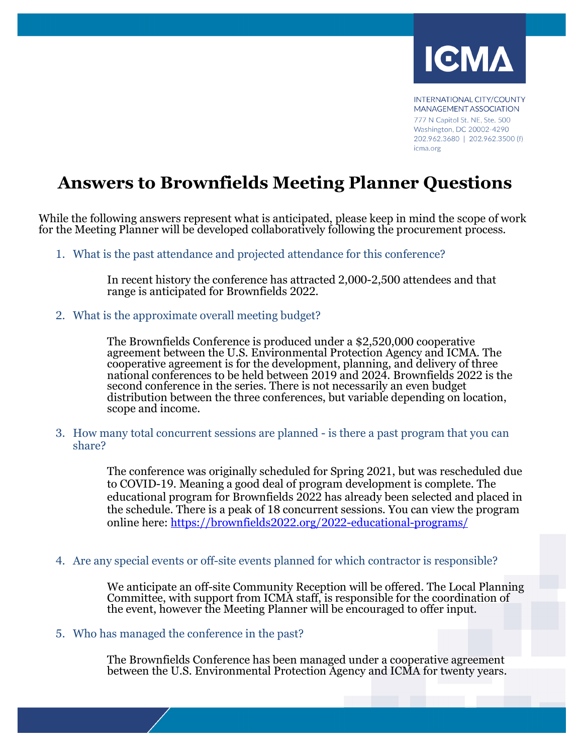

**INTERNATIONAL CITY/COUNTY** MANAGEMENT ASSOCIATION 777 N Capitol St. NE, Ste. 500 Washington, DC 20002-4290 202.962.3680 | 202.962.3500 (f) icma.org

## **Answers to Brownfields Meeting Planner Questions**

While the following answers represent what is anticipated, please keep in mind the scope of work for the Meeting Planner will be developed collaboratively following the procurement process.

1. What is the past attendance and projected attendance for this conference?

In recent history the conference has attracted 2,000-2,500 attendees and that range is anticipated for Brownfields 2022.

2. What is the approximate overall meeting budget?

The Brownfields Conference is produced under a \$2,520,000 cooperative<br>agreement between the U.S. Environmental Protection Agency and ICMA. The cooperative agreement is for the development, planning, and delivery of three national conferences to be held between 2019 and 2024. Brownfields 2022 is the second conference in the series. There is not necessarily an even budget distribution between the three conferences, but variable depending on location, scope and income.

3. How many total concurrent sessions are planned - is there a past program that you can share?

> The conference was originally scheduled for Spring 2021, but was rescheduled due to COVID-19. Meaning a good deal of program development is complete. The educational program for Brownfields 2022 has already been selected and placed in the schedule. There is a peak of 18 concurrent sessions. You can view the program online here:<https://brownfields2022.org/2022-educational-programs/>

4. Are any special events or off-site events planned for which contractor is responsible?

We anticipate an off-site Community Reception will be offered. The Local Planning Committee, with support from ICMA staff, is responsible for the coordination of the event, however the Meeting Planner will be encouraged to offer input.

## 5. Who has managed the conference in the past?

The Brownfields Conference has been managed under a cooperative agreement between the U.S. Environmental Protection Agency and ICMA for twenty years.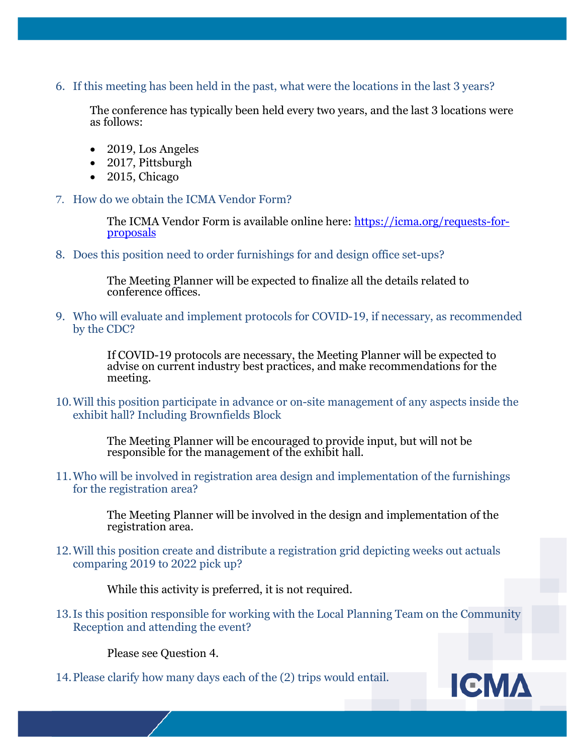6. If this meeting has been held in the past, what were the locations in the last 3 years?

The conference has typically been held every two years, and the last 3 locations were as follows:

- 2019, Los Angeles
- 2017, Pittsburgh
- 2015, Chicago
- 7. How do we obtain the ICMA Vendor Form?

The ICMA Vendor Form is available online here: [https://icma.org/requests-for-](https://icma.org/requests-for-proposals)<br>[proposals](https://icma.org/requests-for-proposals)

8. Does this position need to order furnishings for and design office set-ups?

The Meeting Planner will be expected to finalize all the details related to conference offices.

9. Who will evaluate and implement protocols for COVID-19, if necessary, as recommended by the CDC?

> If COVID-19 protocols are necessary, the Meeting Planner will be expected to advise on current industry best practices, and make recommendations for the meeting.

10.Will this position participate in advance or on-site management of any aspects inside the exhibit hall? Including Brownfields Block

> The Meeting Planner will be encouraged to provide input, but will not be responsible for the management of the exhibit hall.

11.Who will be involved in registration area design and implementation of the furnishings for the registration area?

> The Meeting Planner will be involved in the design and implementation of the registration area.

12.Will this position create and distribute a registration grid depicting weeks out actuals comparing 2019 to 2022 pick up?

While this activity is preferred, it is not required.

13.Is this position responsible for working with the Local Planning Team on the Community Reception and attending the event?

Please see Question 4.

14.Please clarify how many days each of the (2) trips would entail.